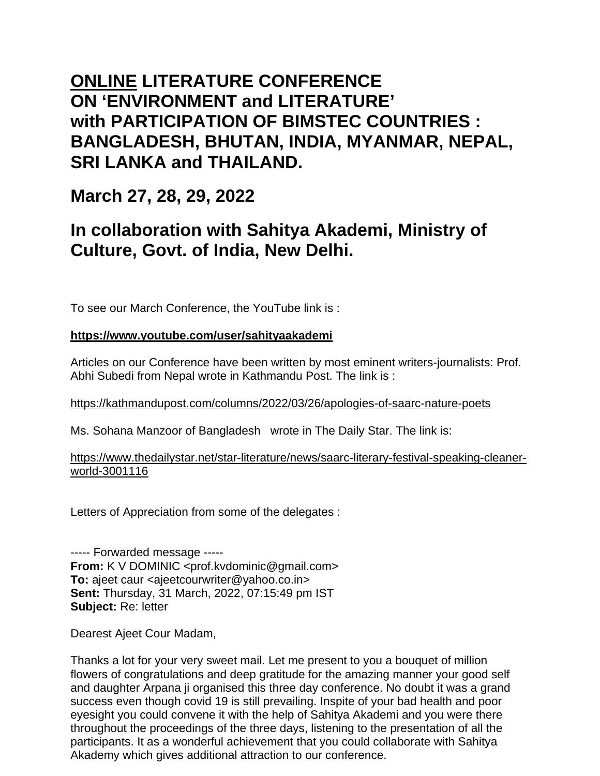## **ONLINE LITERATURE CONFERENCE ON 'ENVIRONMENT and LITERATURE' with PARTICIPATION OF BIMSTEC COUNTRIES : BANGLADESH, BHUTAN, INDIA, MYANMAR, NEPAL, SRI LANKA and THAILAND.**

### **March 27, 28, 29, 2022**

# **In collaboration with Sahitya Akademi, Ministry of Culture, Govt. of India, New Delhi.**

To see our March Conference, the YouTube link is :

### **https://www.youtube.com/user/sahityaakademi**

Articles on our Conference have been written by most eminent writers-journalists: Prof. Abhi Subedi from Nepal wrote in Kathmandu Post. The link is :

#### https://kathmandupost.com/columns/2022/03/26/apologies-of-saarc-nature-poets

Ms. Sohana Manzoor of Bangladesh wrote in The Daily Star. The link is:

https://www.thedailystar.net/star-literature/news/saarc-literary-festival-speaking-cleanerworld-3001116

Letters of Appreciation from some of the delegates :

----- Forwarded message ----- **From:** K V DOMINIC <prof.kvdominic@gmail.com> **To:** ajeet caur <ajeetcourwriter@yahoo.co.in> **Sent:** Thursday, 31 March, 2022, 07:15:49 pm IST **Subject:** Re: letter

Dearest Ajeet Cour Madam,

Thanks a lot for your very sweet mail. Let me present to you a bouquet of million flowers of congratulations and deep gratitude for the amazing manner your good self and daughter Arpana ji organised this three day conference. No doubt it was a grand success even though covid 19 is still prevailing. Inspite of your bad health and poor eyesight you could convene it with the help of Sahitya Akademi and you were there throughout the proceedings of the three days, listening to the presentation of all the participants. It as a wonderful achievement that you could collaborate with Sahitya Akademy which gives additional attraction to our conference.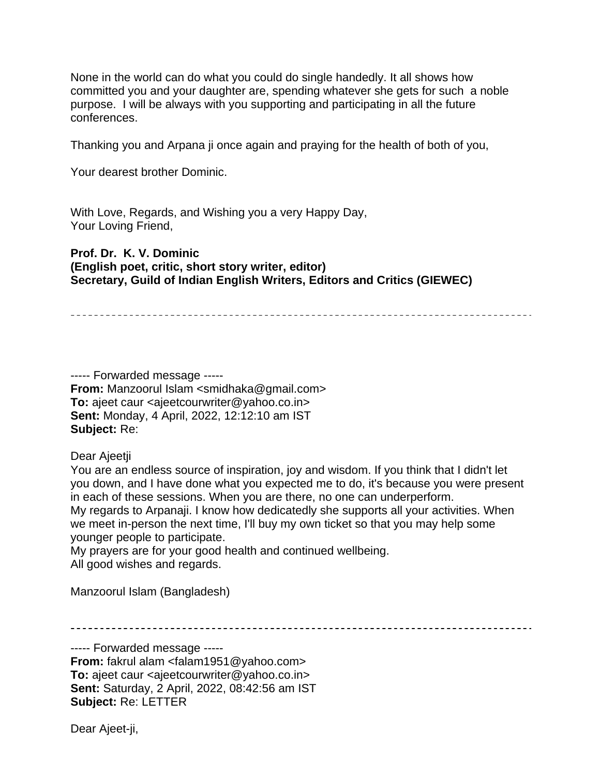None in the world can do what you could do single handedly. It all shows how committed you and your daughter are, spending whatever she gets for such a noble purpose. I will be always with you supporting and participating in all the future conferences.

Thanking you and Arpana ji once again and praying for the health of both of you,

Your dearest brother Dominic.

With Love, Regards, and Wishing you a very Happy Day, Your Loving Friend,

#### **Prof. Dr. K. V. Dominic (English poet, critic, short story writer, editor) Secretary, Guild of Indian English Writers, Editors and Critics (GIEWEC)**

----- Forwarded message ----- **From:** Manzoorul Islam <smidhaka@gmail.com> **To:** ajeet caur <ajeetcourwriter@yahoo.co.in> **Sent:** Monday, 4 April, 2022, 12:12:10 am IST **Subject:** Re:

Dear Ajeetji

You are an endless source of inspiration, joy and wisdom. If you think that I didn't let you down, and I have done what you expected me to do, it's because you were present in each of these sessions. When you are there, no one can underperform. My regards to Arpanaji. I know how dedicatedly she supports all your activities. When we meet in-person the next time, I'll buy my own ticket so that you may help some younger people to participate.

My prayers are for your good health and continued wellbeing. All good wishes and regards.

Manzoorul Islam (Bangladesh)

----- Forwarded message -----

**From:** fakrul alam <falam1951@yahoo.com> **To:** ajeet caur <ajeetcourwriter@yahoo.co.in> **Sent:** Saturday, 2 April, 2022, 08:42:56 am IST **Subject:** Re: LETTER

Dear Ajeet-ji,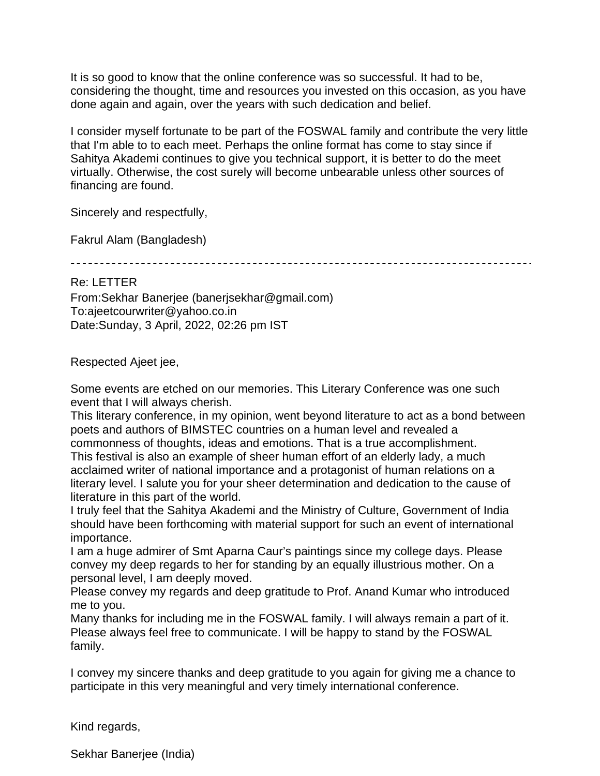It is so good to know that the online conference was so successful. It had to be, considering the thought, time and resources you invested on this occasion, as you have done again and again, over the years with such dedication and belief.

I consider myself fortunate to be part of the FOSWAL family and contribute the very little that I'm able to to each meet. Perhaps the online format has come to stay since if Sahitya Akademi continues to give you technical support, it is better to do the meet virtually. Otherwise, the cost surely will become unbearable unless other sources of financing are found.

Sincerely and respectfully,

Fakrul Alam (Bangladesh)

Re: LETTER From:Sekhar Banerjee (banerjsekhar@gmail.com) To:ajeetcourwriter@yahoo.co.in Date:Sunday, 3 April, 2022, 02:26 pm IST

Respected Ajeet jee,

Some events are etched on our memories. This Literary Conference was one such event that I will always cherish.

This literary conference, in my opinion, went beyond literature to act as a bond between poets and authors of BIMSTEC countries on a human level and revealed a commonness of thoughts, ideas and emotions. That is a true accomplishment.

This festival is also an example of sheer human effort of an elderly lady, a much acclaimed writer of national importance and a protagonist of human relations on a literary level. I salute you for your sheer determination and dedication to the cause of literature in this part of the world.

I truly feel that the Sahitya Akademi and the Ministry of Culture, Government of India should have been forthcoming with material support for such an event of international importance.

I am a huge admirer of Smt Aparna Caur's paintings since my college days. Please convey my deep regards to her for standing by an equally illustrious mother. On a personal level, I am deeply moved.

Please convey my regards and deep gratitude to Prof. Anand Kumar who introduced me to you.

Many thanks for including me in the FOSWAL family. I will always remain a part of it. Please always feel free to communicate. I will be happy to stand by the FOSWAL family.

I convey my sincere thanks and deep gratitude to you again for giving me a chance to participate in this very meaningful and very timely international conference.

Kind regards,

Sekhar Banerjee (India)